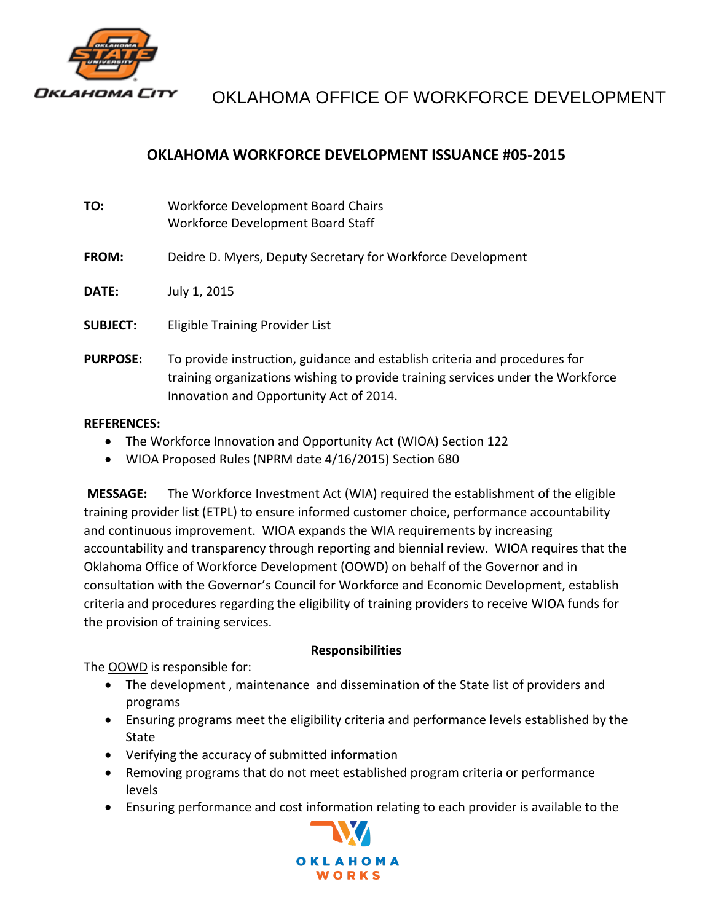

# OKLAHOMA OFFICE OF WORKFORCE DEVELOPMENT

## **OKLAHOMA WORKFORCE DEVELOPMENT ISSUANCE #05-2015**

| TO:             | Workforce Development Board Chairs<br>Workforce Development Board Staff                                                                                                                                  |
|-----------------|----------------------------------------------------------------------------------------------------------------------------------------------------------------------------------------------------------|
| FROM:           | Deidre D. Myers, Deputy Secretary for Workforce Development                                                                                                                                              |
| DATE:           | July 1, 2015                                                                                                                                                                                             |
| <b>SUBJECT:</b> | Eligible Training Provider List                                                                                                                                                                          |
| <b>PURPOSE:</b> | To provide instruction, guidance and establish criteria and procedures for<br>training organizations wishing to provide training services under the Workforce<br>Innovation and Opportunity Act of 2014. |

#### **REFERENCES:**

- The Workforce Innovation and Opportunity Act (WIOA) Section 122
- WIOA Proposed Rules (NPRM date 4/16/2015) Section 680

**MESSAGE:** The Workforce Investment Act (WIA) required the establishment of the eligible training provider list (ETPL) to ensure informed customer choice, performance accountability and continuous improvement. WIOA expands the WIA requirements by increasing accountability and transparency through reporting and biennial review. WIOA requires that the Oklahoma Office of Workforce Development (OOWD) on behalf of the Governor and in consultation with the Governor's Council for Workforce and Economic Development, establish criteria and procedures regarding the eligibility of training providers to receive WIOA funds for the provision of training services.

#### **Responsibilities**

The OOWD is responsible for:

- The development , maintenance and dissemination of the State list of providers and programs
- Ensuring programs meet the eligibility criteria and performance levels established by the State
- Verifying the accuracy of submitted information
- Removing programs that do not meet established program criteria or performance levels
- Ensuring performance and cost information relating to each provider is available to the

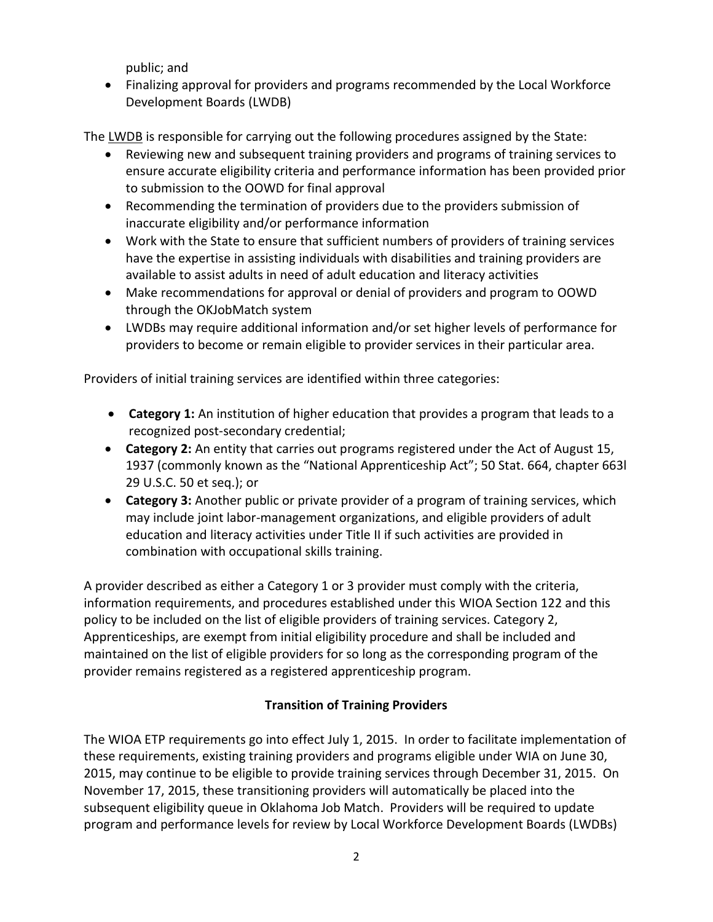public; and

 Finalizing approval for providers and programs recommended by the Local Workforce Development Boards (LWDB)

The LWDB is responsible for carrying out the following procedures assigned by the State:

- Reviewing new and subsequent training providers and programs of training services to ensure accurate eligibility criteria and performance information has been provided prior to submission to the OOWD for final approval
- Recommending the termination of providers due to the providers submission of inaccurate eligibility and/or performance information
- Work with the State to ensure that sufficient numbers of providers of training services have the expertise in assisting individuals with disabilities and training providers are available to assist adults in need of adult education and literacy activities
- Make recommendations for approval or denial of providers and program to OOWD through the OKJobMatch system
- LWDBs may require additional information and/or set higher levels of performance for providers to become or remain eligible to provider services in their particular area.

Providers of initial training services are identified within three categories:

- **Category 1:** An institution of higher education that provides a program that leads to a recognized post-secondary credential;
- **Category 2:** An entity that carries out programs registered under the Act of August 15, 1937 (commonly known as the "National Apprenticeship Act"; 50 Stat. 664, chapter 663l 29 U.S.C. 50 et seq.); or
- **Category 3:** Another public or private provider of a program of training services, which may include joint labor-management organizations, and eligible providers of adult education and literacy activities under Title II if such activities are provided in combination with occupational skills training.

A provider described as either a Category 1 or 3 provider must comply with the criteria, information requirements, and procedures established under this WIOA Section 122 and this policy to be included on the list of eligible providers of training services. Category 2, Apprenticeships, are exempt from initial eligibility procedure and shall be included and maintained on the list of eligible providers for so long as the corresponding program of the provider remains registered as a registered apprenticeship program.

## **Transition of Training Providers**

The WIOA ETP requirements go into effect July 1, 2015. In order to facilitate implementation of these requirements, existing training providers and programs eligible under WIA on June 30, 2015, may continue to be eligible to provide training services through December 31, 2015. On November 17, 2015, these transitioning providers will automatically be placed into the subsequent eligibility queue in Oklahoma Job Match. Providers will be required to update program and performance levels for review by Local Workforce Development Boards (LWDBs)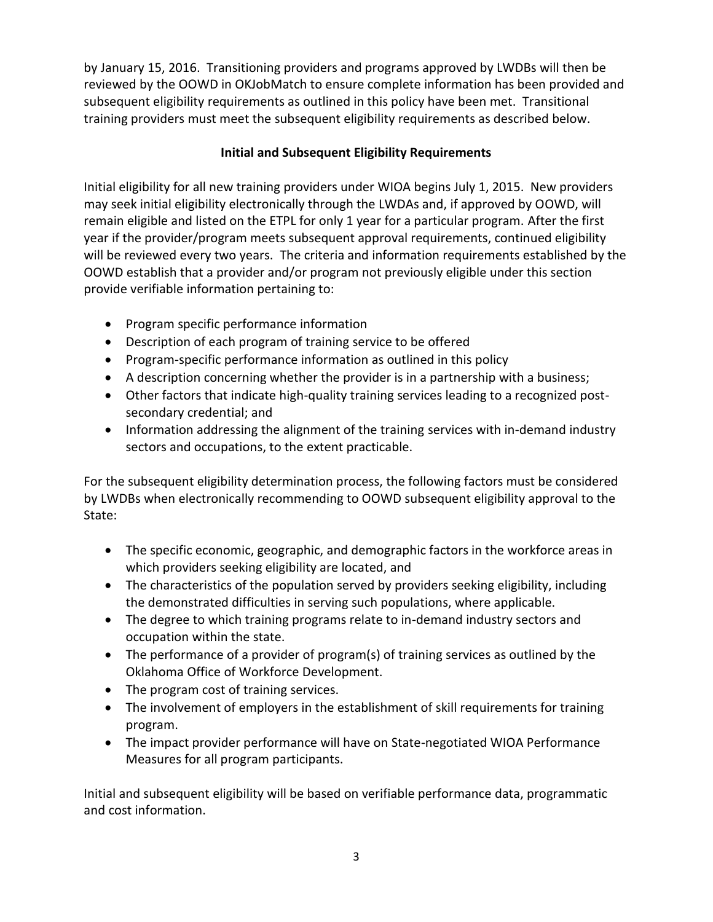by January 15, 2016. Transitioning providers and programs approved by LWDBs will then be reviewed by the OOWD in OKJobMatch to ensure complete information has been provided and subsequent eligibility requirements as outlined in this policy have been met. Transitional training providers must meet the subsequent eligibility requirements as described below.

## **Initial and Subsequent Eligibility Requirements**

Initial eligibility for all new training providers under WIOA begins July 1, 2015. New providers may seek initial eligibility electronically through the LWDAs and, if approved by OOWD, will remain eligible and listed on the ETPL for only 1 year for a particular program. After the first year if the provider/program meets subsequent approval requirements, continued eligibility will be reviewed every two years. The criteria and information requirements established by the OOWD establish that a provider and/or program not previously eligible under this section provide verifiable information pertaining to:

- Program specific performance information
- Description of each program of training service to be offered
- Program-specific performance information as outlined in this policy
- A description concerning whether the provider is in a partnership with a business;
- Other factors that indicate high-quality training services leading to a recognized postsecondary credential; and
- Information addressing the alignment of the training services with in-demand industry sectors and occupations, to the extent practicable.

For the subsequent eligibility determination process, the following factors must be considered by LWDBs when electronically recommending to OOWD subsequent eligibility approval to the State:

- The specific economic, geographic, and demographic factors in the workforce areas in which providers seeking eligibility are located, and
- The characteristics of the population served by providers seeking eligibility, including the demonstrated difficulties in serving such populations, where applicable.
- The degree to which training programs relate to in-demand industry sectors and occupation within the state.
- The performance of a provider of program(s) of training services as outlined by the Oklahoma Office of Workforce Development.
- The program cost of training services.
- The involvement of employers in the establishment of skill requirements for training program.
- The impact provider performance will have on State-negotiated WIOA Performance Measures for all program participants.

Initial and subsequent eligibility will be based on verifiable performance data, programmatic and cost information.